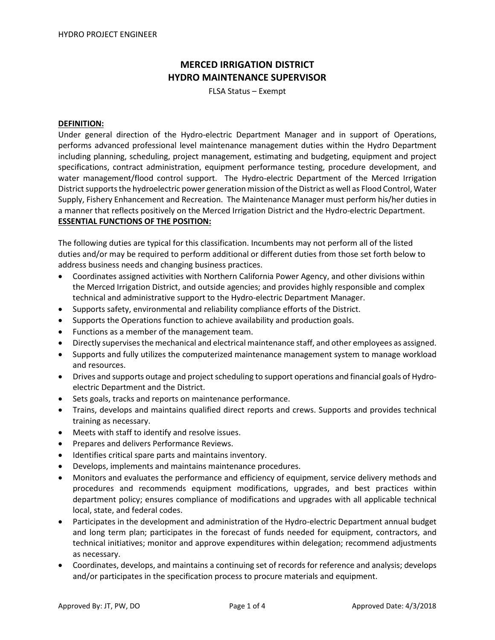# **MERCED IRRIGATION DISTRICT HYDRO MAINTENANCE SUPERVISOR**

FLSA Status – Exempt

## **DEFINITION:**

Under general direction of the Hydro-electric Department Manager and in support of Operations, performs advanced professional level maintenance management duties within the Hydro Department including planning, scheduling, project management, estimating and budgeting, equipment and project specifications, contract administration, equipment performance testing, procedure development, and water management/flood control support. The Hydro-electric Department of the Merced Irrigation District supports the hydroelectric power generation mission of the District as well as Flood Control, Water Supply, Fishery Enhancement and Recreation. The Maintenance Manager must perform his/her duties in a manner that reflects positively on the Merced Irrigation District and the Hydro-electric Department. **ESSENTIAL FUNCTIONS OF THE POSITION:**

The following duties are typical for this classification. Incumbents may not perform all of the listed duties and/or may be required to perform additional or different duties from those set forth below to address business needs and changing business practices.

- Coordinates assigned activities with Northern California Power Agency, and other divisions within the Merced Irrigation District, and outside agencies; and provides highly responsible and complex technical and administrative support to the Hydro-electric Department Manager.
- Supports safety, environmental and reliability compliance efforts of the District.
- Supports the Operations function to achieve availability and production goals.
- Functions as a member of the management team.
- Directly supervises the mechanical and electrical maintenance staff, and other employees as assigned.
- Supports and fully utilizes the computerized maintenance management system to manage workload and resources.
- Drives and supports outage and project scheduling to support operations and financial goals of Hydroelectric Department and the District.
- Sets goals, tracks and reports on maintenance performance.
- Trains, develops and maintains qualified direct reports and crews. Supports and provides technical training as necessary.
- Meets with staff to identify and resolve issues.
- Prepares and delivers Performance Reviews.
- Identifies critical spare parts and maintains inventory.
- Develops, implements and maintains maintenance procedures.
- Monitors and evaluates the performance and efficiency of equipment, service delivery methods and procedures and recommends equipment modifications, upgrades, and best practices within department policy; ensures compliance of modifications and upgrades with all applicable technical local, state, and federal codes.
- Participates in the development and administration of the Hydro-electric Department annual budget and long term plan; participates in the forecast of funds needed for equipment, contractors, and technical initiatives; monitor and approve expenditures within delegation; recommend adjustments as necessary.
- Coordinates, develops, and maintains a continuing set of records for reference and analysis; develops and/or participates in the specification process to procure materials and equipment.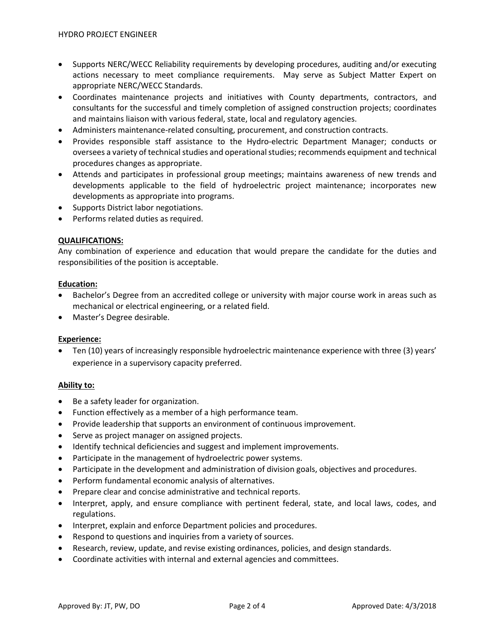- Supports NERC/WECC Reliability requirements by developing procedures, auditing and/or executing actions necessary to meet compliance requirements. May serve as Subject Matter Expert on appropriate NERC/WECC Standards.
- Coordinates maintenance projects and initiatives with County departments, contractors, and consultants for the successful and timely completion of assigned construction projects; coordinates and maintains liaison with various federal, state, local and regulatory agencies.
- Administers maintenance-related consulting, procurement, and construction contracts.
- Provides responsible staff assistance to the Hydro-electric Department Manager; conducts or oversees a variety of technical studies and operational studies; recommends equipment and technical procedures changes as appropriate.
- Attends and participates in professional group meetings; maintains awareness of new trends and developments applicable to the field of hydroelectric project maintenance; incorporates new developments as appropriate into programs.
- Supports District labor negotiations.
- Performs related duties as required.

## **QUALIFICATIONS:**

Any combination of experience and education that would prepare the candidate for the duties and responsibilities of the position is acceptable.

#### **Education:**

- Bachelor's Degree from an accredited college or university with major course work in areas such as mechanical or electrical engineering, or a related field.
- Master's Degree desirable.

## **Experience:**

• Ten (10) years of increasingly responsible hydroelectric maintenance experience with three (3) years' experience in a supervisory capacity preferred.

## **Ability to:**

- Be a safety leader for organization.
- Function effectively as a member of a high performance team.
- Provide leadership that supports an environment of continuous improvement.
- Serve as project manager on assigned projects.
- Identify technical deficiencies and suggest and implement improvements.
- Participate in the management of hydroelectric power systems.
- Participate in the development and administration of division goals, objectives and procedures.
- Perform fundamental economic analysis of alternatives.
- Prepare clear and concise administrative and technical reports.
- Interpret, apply, and ensure compliance with pertinent federal, state, and local laws, codes, and regulations.
- Interpret, explain and enforce Department policies and procedures.
- Respond to questions and inquiries from a variety of sources.
- Research, review, update, and revise existing ordinances, policies, and design standards.
- Coordinate activities with internal and external agencies and committees.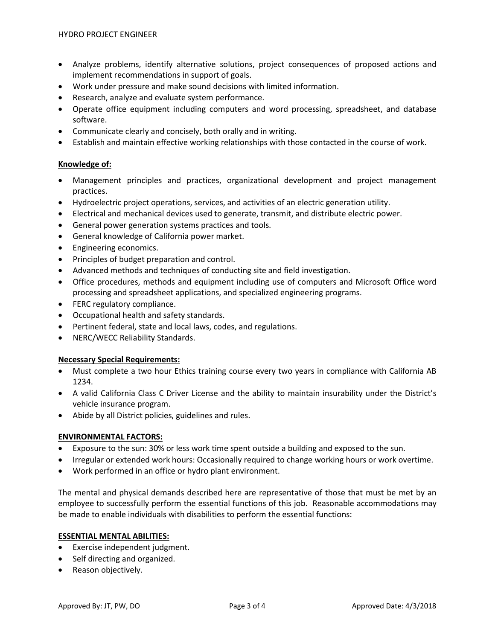- Analyze problems, identify alternative solutions, project consequences of proposed actions and implement recommendations in support of goals.
- Work under pressure and make sound decisions with limited information.
- Research, analyze and evaluate system performance.
- Operate office equipment including computers and word processing, spreadsheet, and database software.
- Communicate clearly and concisely, both orally and in writing.
- Establish and maintain effective working relationships with those contacted in the course of work.

## **Knowledge of:**

- Management principles and practices, organizational development and project management practices.
- Hydroelectric project operations, services, and activities of an electric generation utility.
- Electrical and mechanical devices used to generate, transmit, and distribute electric power.
- General power generation systems practices and tools.
- General knowledge of California power market.
- Engineering economics.
- Principles of budget preparation and control.
- Advanced methods and techniques of conducting site and field investigation.
- Office procedures, methods and equipment including use of computers and Microsoft Office word processing and spreadsheet applications, and specialized engineering programs.
- FERC regulatory compliance.
- Occupational health and safety standards.
- Pertinent federal, state and local laws, codes, and regulations.
- NERC/WECC Reliability Standards.

## **Necessary Special Requirements:**

- Must complete a two hour Ethics training course every two years in compliance with California AB 1234.
- A valid California Class C Driver License and the ability to maintain insurability under the District's vehicle insurance program.
- Abide by all District policies, guidelines and rules.

## **ENVIRONMENTAL FACTORS:**

- Exposure to the sun: 30% or less work time spent outside a building and exposed to the sun.
- Irregular or extended work hours: Occasionally required to change working hours or work overtime.
- Work performed in an office or hydro plant environment.

The mental and physical demands described here are representative of those that must be met by an employee to successfully perform the essential functions of this job. Reasonable accommodations may be made to enable individuals with disabilities to perform the essential functions:

## **ESSENTIAL MENTAL ABILITIES:**

- Exercise independent judgment.
- Self directing and organized.
- Reason objectively.